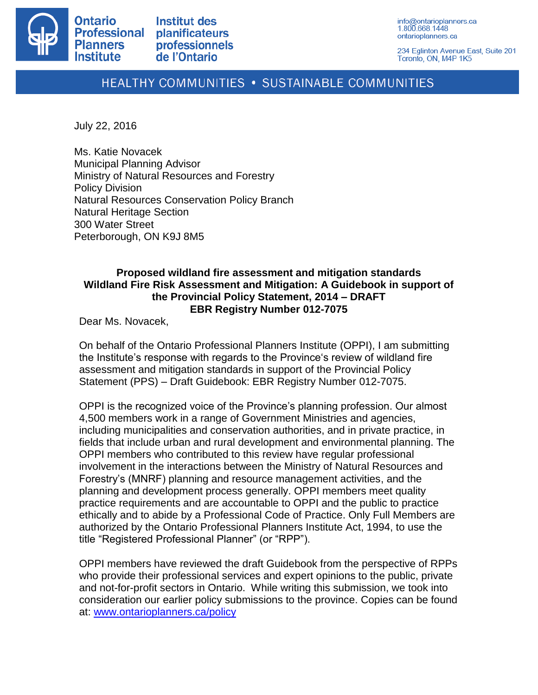

**Institut des** planificateurs professionnels de l'Ontario

info@ontarioplanners.ca 1.800.668.1448 ontarioplanners.ca

234 Eglinton Avenue East, Suite 201 Toronto, ON, M4P 1K5

## **HEALTHY COMMUNITIES • SUSTAINABLE COMMUNITIES**

July 22, 2016

Ms. Katie Novacek Municipal Planning Advisor Ministry of Natural Resources and Forestry Policy Division Natural Resources Conservation Policy Branch Natural Heritage Section 300 Water Street Peterborough, ON K9J 8M5

## **Proposed wildland fire assessment and mitigation standards Wildland Fire Risk Assessment and Mitigation: A Guidebook in support of the Provincial Policy Statement, 2014 – DRAFT EBR Registry Number 012-7075**

Dear Ms. Novacek,

On behalf of the Ontario Professional Planners Institute (OPPI), I am submitting the Institute's response with regards to the Province's review of wildland fire assessment and mitigation standards in support of the Provincial Policy Statement (PPS) – Draft Guidebook: EBR Registry Number 012-7075.

OPPI is the recognized voice of the Province's planning profession. Our almost 4,500 members work in a range of Government Ministries and agencies, including municipalities and conservation authorities, and in private practice, in fields that include urban and rural development and environmental planning. The OPPI members who contributed to this review have regular professional involvement in the interactions between the Ministry of Natural Resources and Forestry's (MNRF) planning and resource management activities, and the planning and development process generally. OPPI members meet quality practice requirements and are accountable to OPPI and the public to practice ethically and to abide by a Professional Code of Practice. Only Full Members are authorized by the Ontario Professional Planners Institute Act, 1994, to use the title "Registered Professional Planner" (or "RPP").

OPPI members have reviewed the draft Guidebook from the perspective of RPPs who provide their professional services and expert opinions to the public, private and not-for-profit sectors in Ontario. While writing this submission, we took into consideration our earlier policy submissions to the province. Copies can be found at: [www.ontarioplanners.ca/policy](http://www.ontarioplanners.ca/policy)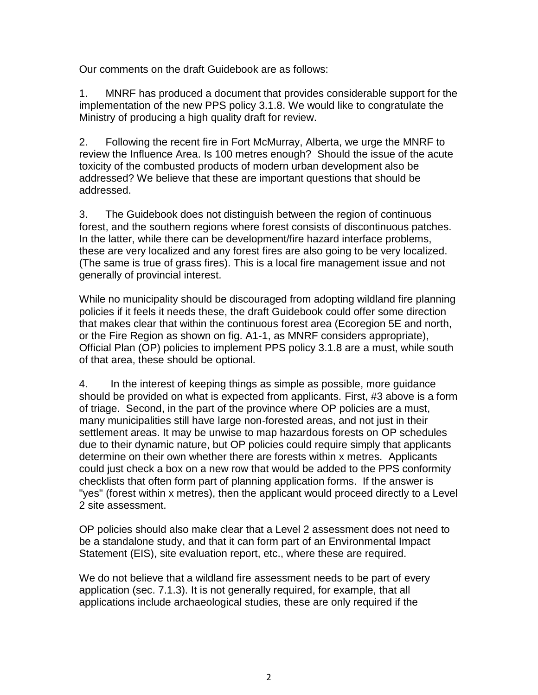Our comments on the draft Guidebook are as follows:

1. MNRF has produced a document that provides considerable support for the implementation of the new PPS policy 3.1.8. We would like to congratulate the Ministry of producing a high quality draft for review.

2. Following the recent fire in Fort McMurray, Alberta, we urge the MNRF to review the Influence Area. Is 100 metres enough? Should the issue of the acute toxicity of the combusted products of modern urban development also be addressed? We believe that these are important questions that should be addressed.

3. The Guidebook does not distinguish between the region of continuous forest, and the southern regions where forest consists of discontinuous patches. In the latter, while there can be development/fire hazard interface problems, these are very localized and any forest fires are also going to be very localized. (The same is true of grass fires). This is a local fire management issue and not generally of provincial interest.

While no municipality should be discouraged from adopting wildland fire planning policies if it feels it needs these, the draft Guidebook could offer some direction that makes clear that within the continuous forest area (Ecoregion 5E and north, or the Fire Region as shown on fig. A1-1, as MNRF considers appropriate), Official Plan (OP) policies to implement PPS policy 3.1.8 are a must, while south of that area, these should be optional.

4. In the interest of keeping things as simple as possible, more guidance should be provided on what is expected from applicants. First, #3 above is a form of triage. Second, in the part of the province where OP policies are a must, many municipalities still have large non-forested areas, and not just in their settlement areas. It may be unwise to map hazardous forests on OP schedules due to their dynamic nature, but OP policies could require simply that applicants determine on their own whether there are forests within x metres. Applicants could just check a box on a new row that would be added to the PPS conformity checklists that often form part of planning application forms. If the answer is "yes" (forest within x metres), then the applicant would proceed directly to a Level 2 site assessment.

OP policies should also make clear that a Level 2 assessment does not need to be a standalone study, and that it can form part of an Environmental Impact Statement (EIS), site evaluation report, etc., where these are required.

We do not believe that a wildland fire assessment needs to be part of every application (sec. 7.1.3). It is not generally required, for example, that all applications include archaeological studies, these are only required if the